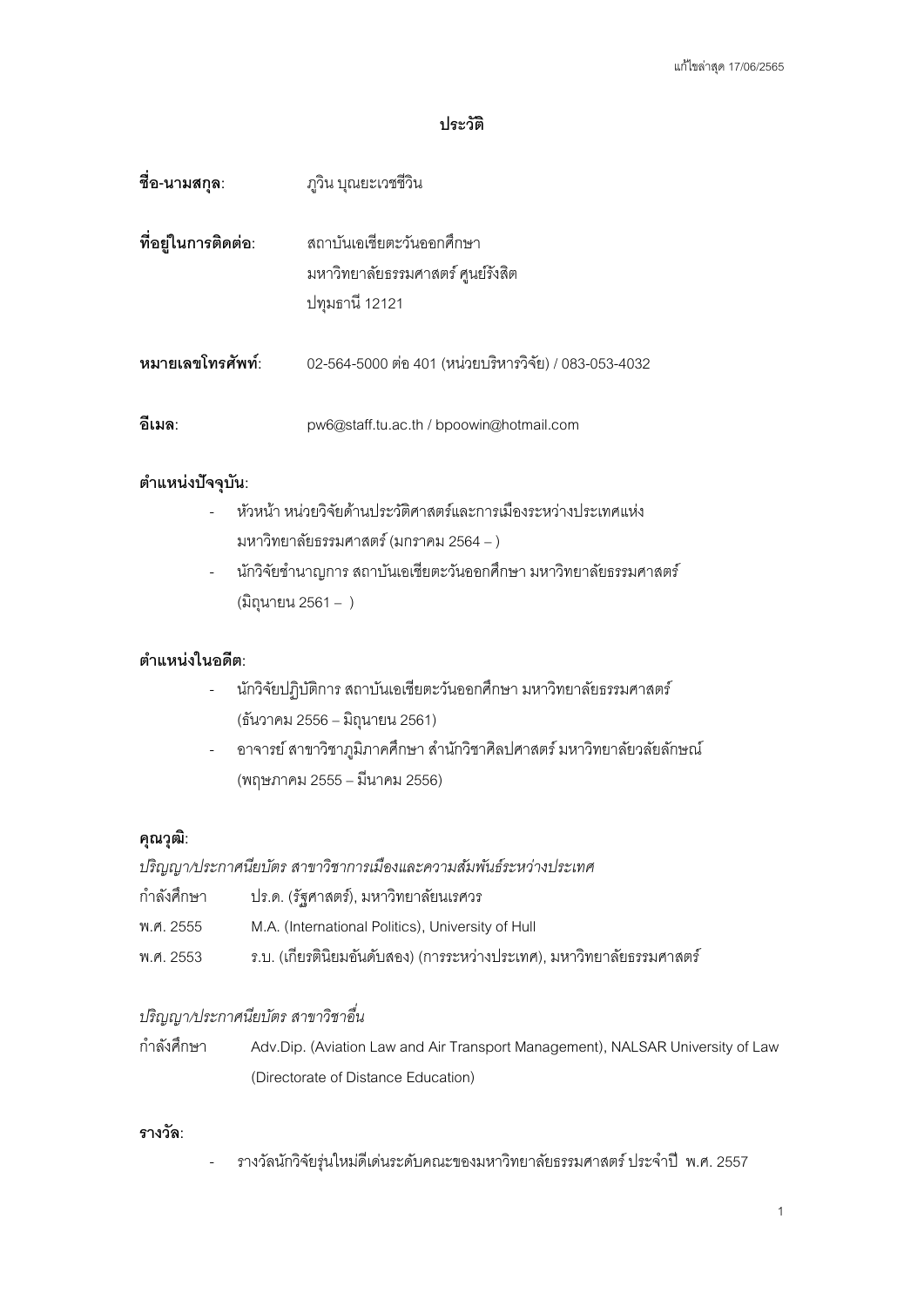### **ประวัติ**

| ชื่อ-นามสกุล:       | ภูวิน บุณยะเวชชีวิน                                                              |
|---------------------|----------------------------------------------------------------------------------|
| ที่อยู่ในการติดต่อ: | สถาบันเอเชียตะวันออกศึกษา<br>มหาวิทยาลัยธรรมศาสตร์ ศูนย์รังสิต<br>ปทุมธานี 12121 |
| หมายเลขโทรศัพท์:    | 02-564-5000 ต่อ 401 (หน่วยบริหารวิจัย) / 083-053-4032                            |
| ้อีเมล:             | pw6@staff.tu.ac.th / bpoowin@hotmail.com                                         |

# **ตําแหน่งปัจจุบัน:**

- หัวหน้า หน่วยวิจัยด้านประวัติศาสตร์และการเมืองระหว่างประเทศแห่ง มหาวิทยาลัยธรรมศาสตร์ (มกราคม 2564– )
- นักวิจัยชำนาญการ สถาบันเอเชียตะวันออกศึกษา มหาวิทยาลัยธรรมศาสตร์ (มิถุนายน 2561– )

# **ตําแหน่งในอดีต:**

- นักวิจัยปฏิบัติการ สถาบันเอเชียตะวันออกศึกษา มหาวิทยาลัยธรรมศาสตร์ (ธันวาคม 2556 – มิถุนายน 2561)
- อาจารย์สาขาวิชาภูมิภาคศึกษา สํานักวิชาศิลปศาสตร์ มหาวิทยาลัยวลัยลักษณ์ (พฤษภาคม 2555 – มีนาคม 2556)

### **คุณวุฒิ:**

*ปริญญา/ประกาศนียบัตร สาขาวิชาการเมืองและความสัมพันธ์ระหว่างประเทศ*

| กำลังศึกษา | ปร.ด. (รัฐศาสตร์), มหาวิทยาลัยนเรศวร                                   |
|------------|------------------------------------------------------------------------|
| พ.ศ. 2555  | M.A. (International Politics), University of Hull                      |
| พ.ศ. 2553  | ึร.บ. (เกียรตินิยมอันดับสอง) (การระหว่างประเทศ), มหาวิทยาลัยธรรมศาสตร์ |

# *ปริญญา/ประกาศนียบัตร สาขาวิชาอื่น*

กําลังศึกษา Adv.Dip. (Aviation Law and Air Transport Management), NALSAR University of Law (Directorate of Distance Education)

# **รางวัล:**

- รางวัลนักวิจัยรุ่นใหม่ดีเด่นระดับคณะของมหาวิทยาลัยธรรมศาสตร์ ประจําปี พ.ศ. 2557

1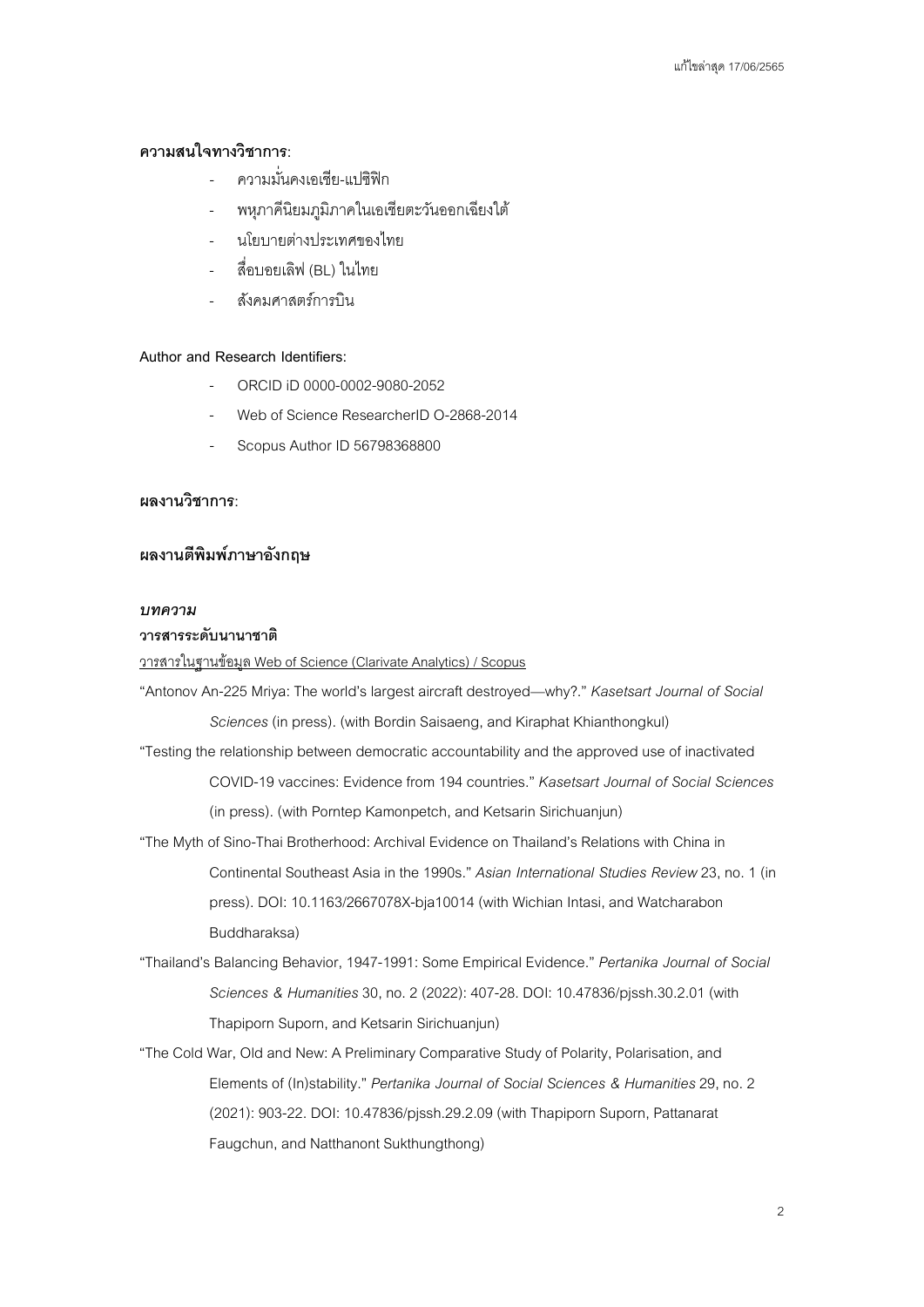### **ความสนใจทางวิชาการ:**

- ความมั่นคงเคเชีย-แปซิฟิก
- พหุภาคีนิยมภูมิภาคในเอเชียตะวันออกเฉียงใต้
- นโยบายต่างประเทศของไทย
- สื่อบอยเลิฟ (BL) ในไทย
- สังคมศาสตร์การบิน

#### **Author and Research Identifiers:**

- ORCID iD 0000-0002-9080-2052
- Web of Science ResearcherID O-2868-2014
- Scopus Author ID 56798368800

### **ผลงานวิชาการ:**

# **ผลงานตีพิมพ์ภาษาอังกฤษ**

#### *บทความ*

### **วารสารระดับนานาชาติ**

#### วารสารในฐานข้อมูล Web of Science (Clarivate Analytics) / Scopus

"Antonov An-225 Mriya: The world's largest aircraft destroyed—why?." *Kasetsart Journal of Social Sciences* (in press). (with Bordin Saisaeng, and Kiraphat Khianthongkul)

- "Testing the relationship between democratic accountability and the approved use of inactivated COVID-19 vaccines: Evidence from 194 countries." *Kasetsart Journal of Social Sciences* (in press). (with Porntep Kamonpetch, and Ketsarin Sirichuanjun)
- "The Myth of Sino-Thai Brotherhood: Archival Evidence on Thailand's Relations with China in Continental Southeast Asia in the 1990s." *Asian International Studies Review* 23, no. 1 (in press). DOI: 10.1163/2667078X-bja10014 (with Wichian Intasi, and Watcharabon Buddharaksa)
- "Thailand's Balancing Behavior, 1947-1991: Some Empirical Evidence." *Pertanika Journal of Social Sciences & Humanities*30, no. 2 (2022): 407-28. DOI: 10.47836/pjssh.30.2.01 (with Thapiporn Suporn, and Ketsarin Sirichuanjun)
- "The Cold War, Old and New: A Preliminary Comparative Study of Polarity, Polarisation, and Elements of (In)stability." *Pertanika Journal of Social Sciences & Humanities*29, no. 2 (2021): 903-22. DOI: 10.47836/pjssh.29.2.09 (with Thapiporn Suporn, Pattanarat Faugchun, and Natthanont Sukthungthong)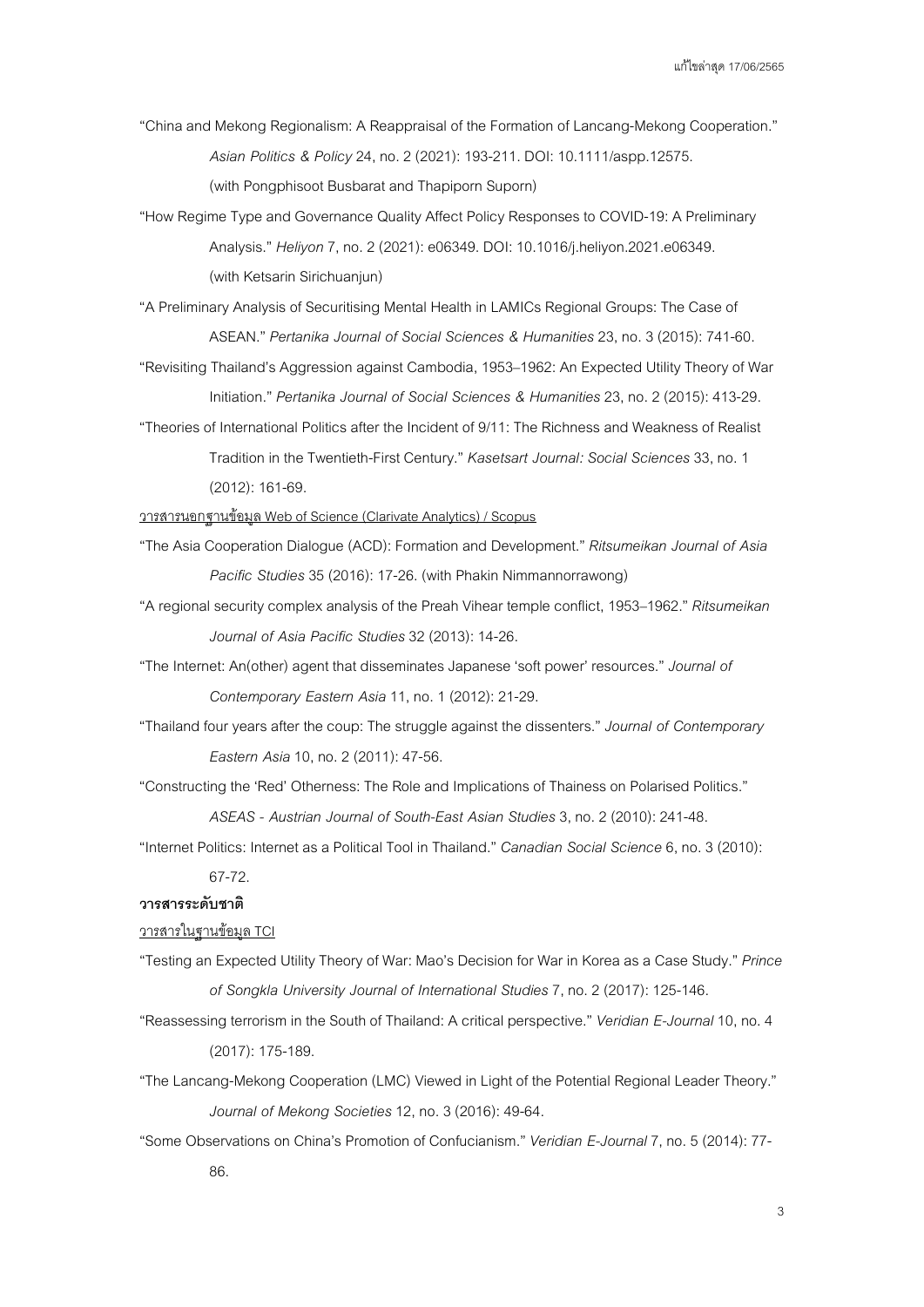- "China and Mekong Regionalism: A Reappraisal of the Formation of Lancang-Mekong Cooperation." *Asian Politics & Policy*24, no. 2 (2021): 193-211. DOI: 10.1111/aspp.12575. (with Pongphisoot Busbarat and Thapiporn Suporn)
- "How Regime Type and Governance Quality Affect Policy Responses to COVID-19: A Preliminary Analysis." *Heliyon*7, no. 2 (2021): e06349. DOI: 10.1016/j.heliyon.2021.e06349. (with Ketsarin Sirichuanjun)

"A Preliminary Analysis of Securitising Mental Health in LAMICs Regional Groups: The Case of ASEAN." *Pertanika Journal of Social Sciences & Humanities*23, no. 3 (2015): 741-60.

"Revisiting Thailand's Aggression against Cambodia, 1953–1962: An Expected Utility Theory of War Initiation." *Pertanika Journal of Social Sciences & Humanities*23, no. 2(2015): 413-29.

"Theories of International Politics after the Incident of 9/11: The Richness and Weakness of Realist Tradition in the Twentieth-First Century." *Kasetsart Journal: Social Sciences*33, no. 1 (2012): 161-69.

วารสารนอกฐานข้อมูล Web of Science (Clarivate Analytics) / Scopus

- "The Asia Cooperation Dialogue (ACD): Formation and Development." *Ritsumeikan Journal of Asia Pacific Studies*35 (2016):17-26. (with Phakin Nimmannorrawong)
- "A regional security complex analysis of the Preah Vihear temple conflict, 1953–1962." *Ritsumeikan*  Journal of Asia Pacific Studies 32 (2013): 14-26.
- "The Internet: An(other) agent that disseminates Japanese 'soft power' resources." *Journal of Contemporary Eastern Asia*11, no. 1 (2012): 21-29.
- "Thailand four years after the coup: The struggle against the dissenters." *Journal of Contemporary Eastern Asia*10, no. 2 (2011): 47-56.
- "Constructing the 'Red' Otherness: The Role and Implications of Thainess on Polarised Politics."

*ASEAS - Austrian Journal of South-East Asian Studies*3, no. 2 (2010): 241-48.

"Internet Politics: Internet as a Political Tool in Thailand." *Canadian Social Science*6, no. 3 (2010): 67-72.

#### **วารสารระดับชาติ**

#### วารสารในฐานข้อมูล TCI

- "Testing an Expected Utility Theory of War: Mao's Decision for War in Korea as a Case Study." *Prince of Songkla University Journal of International Studies*7, no. 2 (2017): 125-146.
- "Reassessing terrorism in the South of Thailand: A critical perspective." *Veridian E-Journal*10, no. 4 (2017): 175-189.
- "The Lancang-Mekong Cooperation (LMC) Viewed in Light of the Potential Regional Leader Theory." *Journal of Mekong Societies*12, no. 3 (2016): 49-64.
- "Some Observations on China's Promotion of Confucianism." *Veridian E-Journal*7, no. 5 (2014): 77- 86.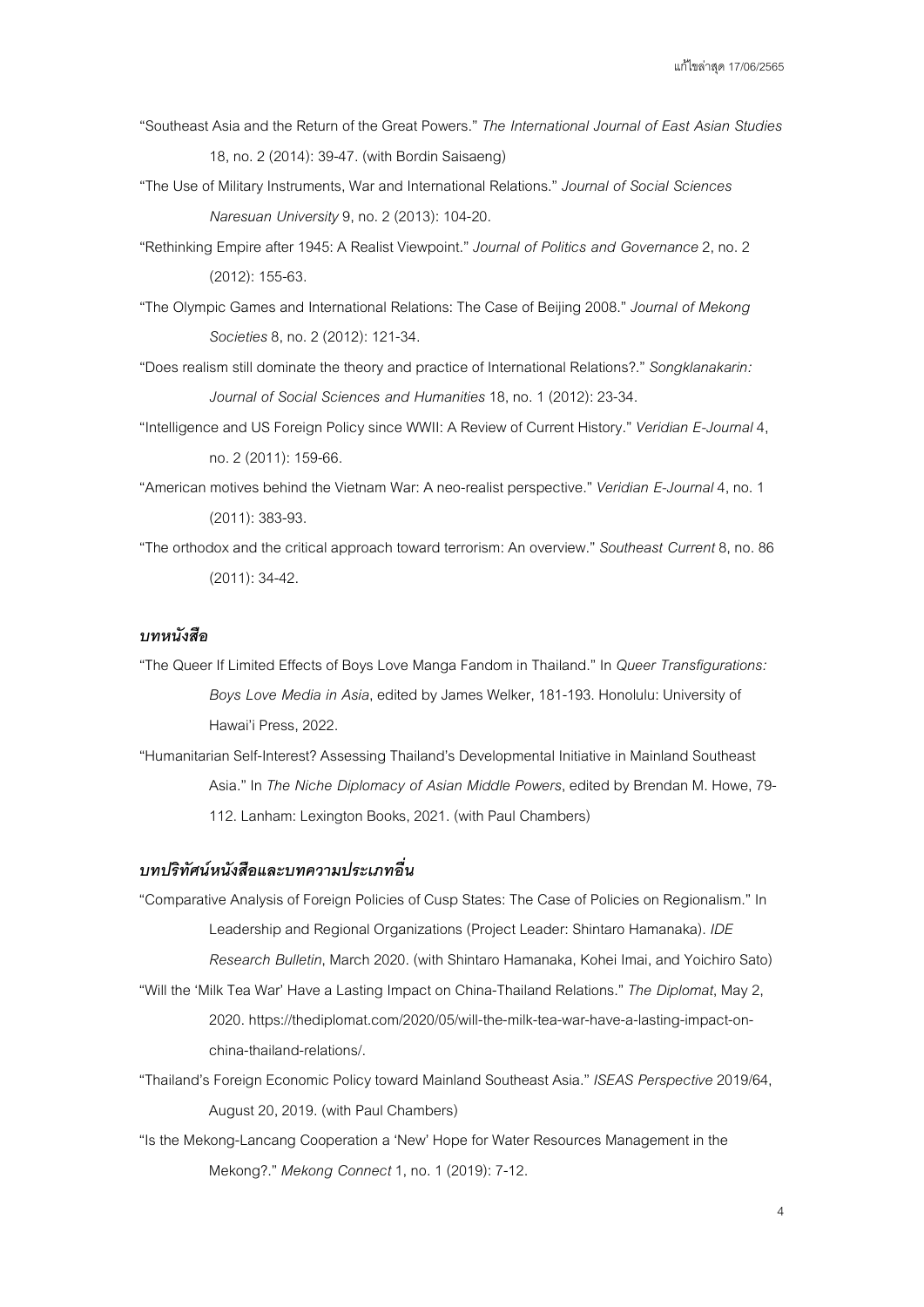- "Southeast Asia and the Return of the Great Powers." *The International Journal of East Asian Studies* 18, no. 2(2014):39-47. (with Bordin Saisaeng)
- "The Use of Military Instruments, War and International Relations." *Journal of Social Sciences Naresuan University*9, no. 2 (2013): 104-20.
- "Rethinking Empire after 1945: A Realist Viewpoint." *Journal of Politics and Governance*2, no. 2 (2012): 155-63.
- "The Olympic Games and International Relations: The Case of Beijing 2008." *Journal of Mekong Societies*8, no. 2(2012): 121-34.
- "Does realism still dominate the theory and practice of International Relations?." *Songklanakarin: Journal of Social Sciences and Humanities*18, no. 1 (2012):23-34.
- "Intelligence and US Foreign Policy since WWII: A Review of Current History." *Veridian E-Journal*4, no. 2 (2011): 159-66.
- "American motives behind the Vietnam War: A neo-realist perspective." *Veridian E-Journal*4, no. 1 (2011):383-93.
- "The orthodox and the critical approach toward terrorism: An overview." *Southeast Current*8,no. 86 (2011):34-42.

# *บทหนังสือ*

- "The Queer If Limited Effects of Boys Love Manga Fandom in Thailand." In *Queer Transfigurations: Boys Love Media in Asia*, edited by James Welker, 181-193. Honolulu: University of Hawai'i Press, 2022.
- "Humanitarian Self-Interest? Assessing Thailand's Developmental Initiative in Mainland Southeast Asia." In *The Niche Diplomacy of Asian Middle Powers*, edited by Brendan M. Howe, 79- 112. Lanham: Lexington Books, 2021. (with Paul Chambers)

#### *บทปริทัศน์หนังสือและบทความประเภทอืน่*

- "Comparative Analysis of Foreign Policies of Cusp States: The Case of Policies on Regionalism." In Leadership and Regional Organizations (Project Leader: Shintaro Hamanaka). *IDE Research Bulletin*, March 2020. (with Shintaro Hamanaka, Kohei Imai, and Yoichiro Sato) "Will the 'Milk Tea War' Have a Lasting Impact on China-Thailand Relations."*The Diplomat*, May 2,
	- 2020. https://thediplomat.com/2020/05/will-the-milk-tea-war-have-a-lasting-impact-onchina-thailand-relations/.
- "Thailand's Foreign Economic Policy toward Mainland Southeast Asia." *ISEAS Perspective*2019/64, August 20, 2019. (with Paul Chambers)
- "Is the Mekong-Lancang Cooperation a 'New' Hope for Water Resources Management in the Mekong?." *Mekong Connect*1,no. 1 (2019): 7-12.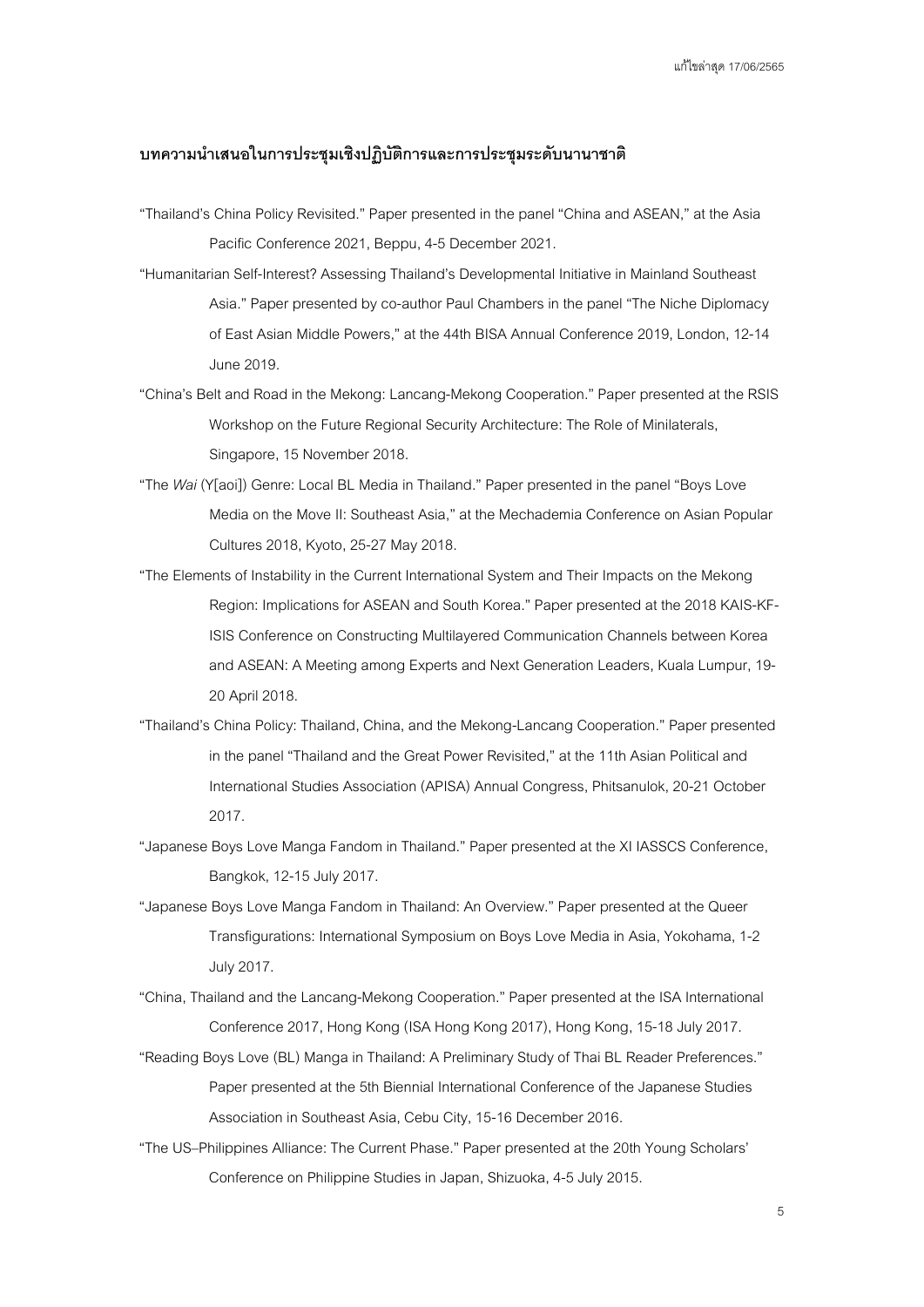#### **บทความนําเสนอในการประชุมเชิงปฏิบัติการและการประชุมระดับนานาชาติ**

- "Thailand's China Policy Revisited." Paper presented in the panel "China and ASEAN,"at the Asia Pacific Conference 2021, Beppu, 4-5 December 2021.
- "Humanitarian Self-Interest? Assessing Thailand's Developmental Initiative in Mainland Southeast Asia." Paper presented by co-author Paul Chambers in the panel "The Niche Diplomacy of East Asian Middle Powers,"at the 44th BISA Annual Conference 2019, London, 12-14 June 2019.
- "China's Belt and Road in the Mekong: Lancang-Mekong Cooperation." Paper presented at the RSIS Workshop on the Future Regional Security Architecture: The Role of Minilaterals, Singapore, 15 November 2018.
- "The *Wai* (Y[aoi]) Genre: Local BL Media in Thailand." Paper presented in the panel "Boys Love Media on the Move II: Southeast Asia,"at the Mechademia Conference on Asian Popular Cultures 2018, Kyoto, 25-27 May 2018.
- "The Elements of Instability in the Current International System and Their Impacts on the Mekong Region: Implications for ASEAN and South Korea." Paper presented at the 2018 KAIS-KF-ISIS Conference on Constructing Multilayered Communication Channels between Korea and ASEAN: A Meeting among Experts and Next Generation Leaders, Kuala Lumpur, 19- 20 April 2018.
- "Thailand's China Policy: Thailand, China, and the Mekong-Lancang Cooperation." Paper presented in the panel "Thailand and the Great Power Revisited," at the 11th Asian Political and International Studies Association (APISA) Annual Congress, Phitsanulok, 20-21 October 2017.
- "Japanese BoysLove Manga Fandom in Thailand." Paper presented at the XI IASSCS Conference, Bangkok, 12-15 July 2017.
- "Japanese Boys Love Manga Fandom in Thailand: An Overview." Paper presented at the Queer Transfigurations: International Symposium on Boys Love Media in Asia, Yokohama, 1-2 July 2017.
- "China, Thailand and the Lancang-Mekong Cooperation." Paper presented at the ISA International Conference 2017, Hong Kong (ISA Hong Kong 2017), Hong Kong, 15-18 July 2017.
- "Reading Boys Love (BL) Manga in Thailand: A Preliminary Study of Thai BL Reader Preferences." Paper presented at the 5th Biennial International Conference of the Japanese Studies Association in Southeast Asia, Cebu City, 15-16 December 2016.
- "The US–Philippines Alliance: The Current Phase." Paper presented at the 20th Young Scholars' Conference on Philippine Studies in Japan, Shizuoka, 4-5 July 2015.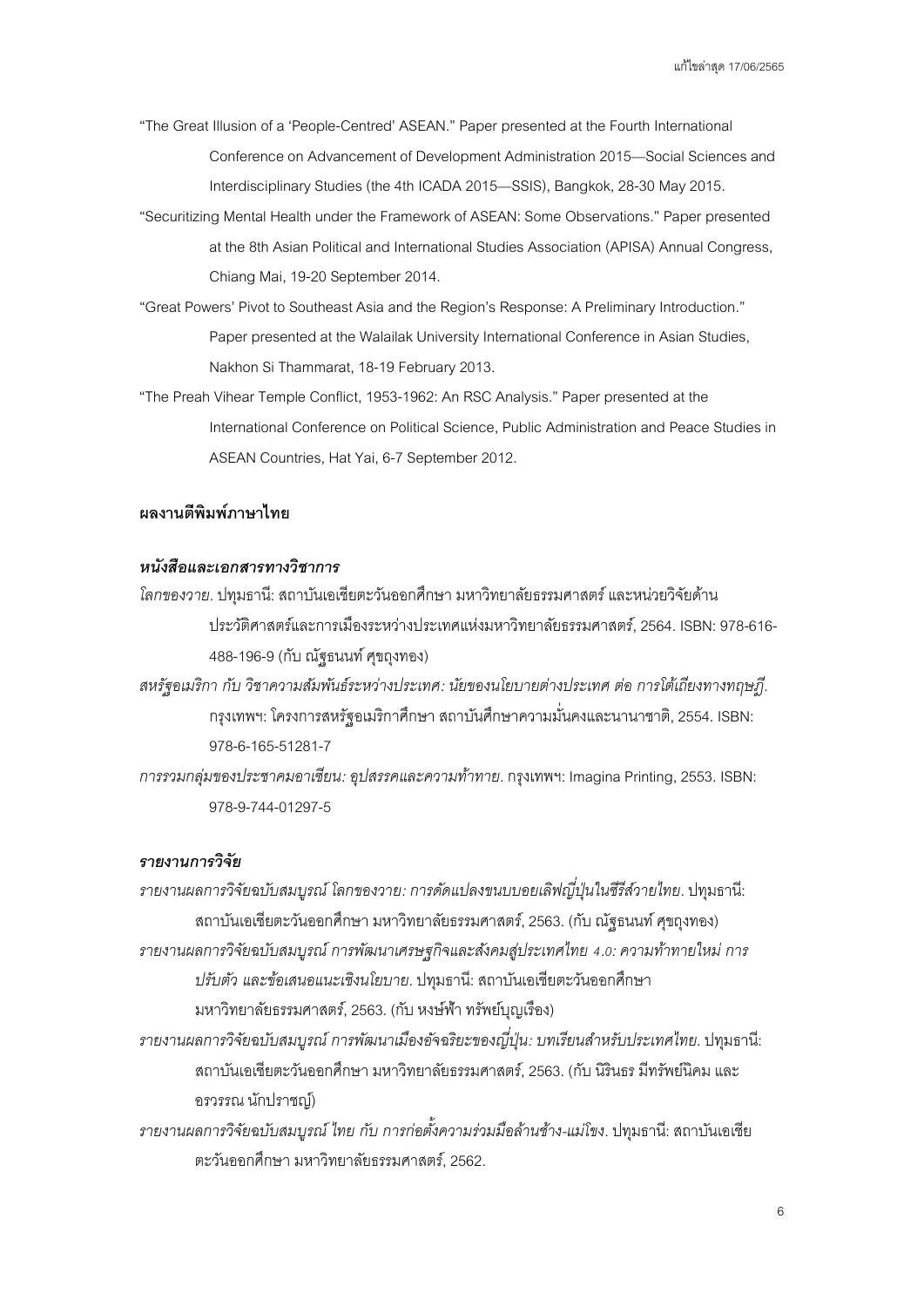"The Great Illusion of a 'People-Centred' ASEAN." Paper presented at the Fourth International Conference on Advancement of Development Administration 2015—Social Sciences and Interdisciplinary Studies (the 4th ICADA 2015—SSIS), Bangkok, 28-30 May 2015.

- "Securitizing Mental Health under the Framework of ASEAN: Some Observations." Paper presented at the 8th Asian Political and International Studies Association (APISA) Annual Congress, Chiang Mai,19-20 September 2014.
- "Great Powers' Pivot to Southeast Asia and the Region's Response: A Preliminary Introduction." Paper presented at the Walailak University International Conference in Asian Studies, Nakhon Si Thammarat, 18-19 February 2013.
- "The Preah Vihear Temple Conflict, 1953-1962: An RSC Analysis." Paper presented at the International Conference on Political Science, Public Administration and Peace Studies in ASEAN Countries, Hat Yai, 6-7 September 2012.

# **ผลงานตีพิมพ์ภาษาไทย**

### *หนังสือและเอกสารทางวิชาการ*

- *โลกของวาย*. ปทุมธานี: สถาบันเอเชียตะวันออกศึกษา มหาวิทยาลัยธรรมศาสตร์และหน่วยวิจัยด้าน ประวัติศาสตร์และการเมืองระหว่างประเทศแห่งมหาวิทยาลัยธรรมศาสตร์, 2564. ISBN: 978-616- 488-196-9 (กับ ณัฐธนนท์ศุขถุงทอง)
- *สหรัฐอเมริกา กับ วิชาความสัมพันธ์ระหว่างประเทศ: นัยของนโยบายต่างประเทศ ต่อ การโต้เถียงทางทฤษฎี*. กรุงเทพฯ: โครงการสหรัฐอเมริกาศึกษา สถาบันศึกษาความมั่นคงและนานาชาติ, 2554. ISBN: 978-6-165-51281-7
- *การรวมกลุ่มของประชาคมอาเซียน: อุปสรรคและความท้าทาย*. กรุงเทพฯ: Imagina Printing,2553. ISBN: 978-9-744-01297-5

### *รายงานการวิจัย*

- *รายงานผลการวิจัยฉบับสมบูรณ์โลกของวาย: การดัดแปลงขนบบอยเลิฟญีปุ่ นในซีรีส์วายไทย ่* . ปทุมธานี: สถาบันเอเชียตะวันออกศึกษา มหาวิทยาลัยธรรมศาสตร์, 2563. (กับ ณัฐธนนท์ศุขถุงทอง)
- *รายงานผลการวิจัยฉบับสมบูรณ์การพัฒนาเศรษฐกิจและสังคมสู่ประเทศไทย 4.0: ความท้าทายใหม่ การ ปรับตัว และข้อเสนอแนะเชิงนโยบาย*. ปทุมธานี: สถาบันเอเชียตะวันออกศึกษา มหาวิทยาลัยธรรมศาสตร์, 2563. (กับ หงษ์ฟ้า ทรัพย์บุญเรือง)
- *รายงานผลการวิจัยฉบับสมบูรณ์การพัฒนาเมืองอัจฉริยะของญีปุ่ น่ : บทเรียนสาหรับประเทศไทย ํ* . ปทุมธานี: สถาบันเอเชียตะวันออกศึกษา มหาวิทยาลัยธรรมศาสตร์, 2563. (กับ นิรินธร มีทรัพย์นิคม และ อรวรรณ นักปราชญ์)
- *รายงานผลการวิจัยฉบับสมบูรณ์ไทย กับ การก่อตังความร่วมมือล้านช้าง ้ -แม่โขง*. ปทุมธานี: สถาบันเอเชีย ตะวันออกศึกษา มหาวิทยาลัยธรรมศาสตร์, 2562.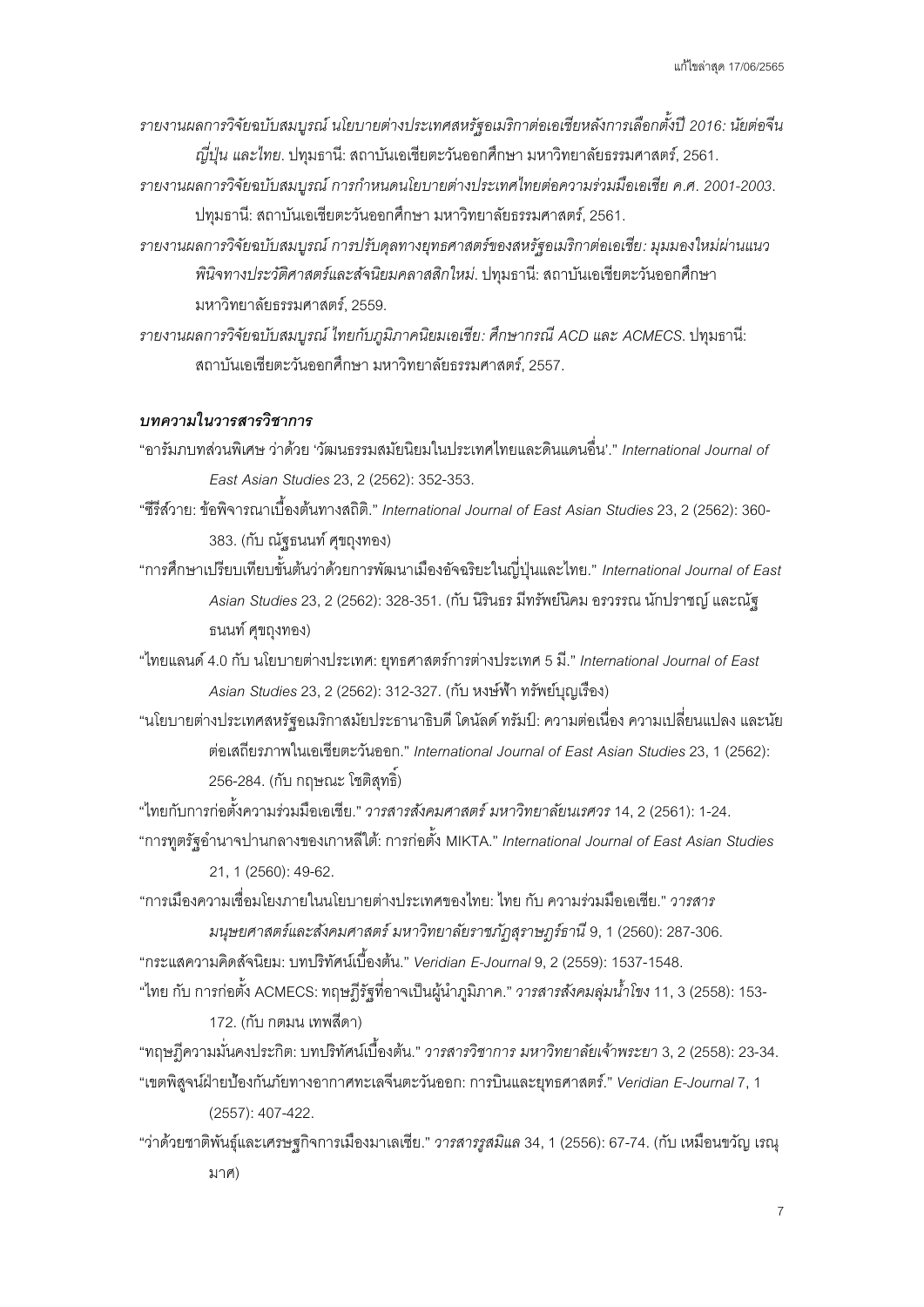- *รายงานผลการวิจัยฉบับสมบูรณ์นโยบายต่างประเทศสหรัฐอเมริกาต่อเอเชียหลังการเลือกตังปี ้ 2016: นัยต่อจีน ญีปุ่ น่ และไทย*. ปทุมธานี: สถาบันเอเชียตะวันออกศึกษา มหาวิทยาลัยธรรมศาสตร์, 2561.
- *รายงานผลการวิจัยฉบับสมบูรณ์การกาหนดนโยบายต่างประเทศไทยต่ ํ อความร่วมมือเอเชีย ค.ศ. 2001-2003*. ปทุมธานี: สถาบันเอเชียตะวันออกศึกษา มหาวิทยาลัยธรรมศาสตร์, 2561.
- *รายงานผลการวิจัยฉบับสมบูรณ์การปรับดุลทางยุทธศาสตร์ของสหรัฐอเมริกาต่อเอเชีย: มุมมองใหม่ผ่านแนว พินิจทางประวัติศาสตร์และสัจนิยมคลาสสิกใหม่*. ปทุมธานี: สถาบันเอเชียตะวันออกศึกษา มหาวิทยาลัยธรรมศาสตร์, 2559.
- *รายงานผลการวิจัยฉบับสมบูรณ์ไทยกับภูมิภาคนิยมเอเชีย: ศึกษากรณีACD และ ACMECS*. ปทุมธานี: สถาบันเอเชียตะวันออกศึกษา มหาวิทยาลัยธรรมศาสตร์, 2557.

### *บทความในวารสารวิชาการ*

"อารัมภบทส่วนพิเศษ ว่าด้วย 'วัฒนธรรมสมัยนิยมในประเทศไทยและดินแดนอื่น'." *International Journal of East Asian Studies*23, 2 (2562): 352-353.

"ซีรีส์วาย: ข้อพิจารณาเบื้องต้นทางสถิติ." *International Journal of East Asian Studies*23, 2 (2562):360- 383. (กับ ณัฐธนนท์ศุขถุงทอง)

"การศึกษาเปรียบเทียบขั้นต้นว่าด้วยการพัฒนาเมืองอัจฉริยะในญี่ปุ่ นและไทย." *International Journal of East Asian Studies*23, 2 (2562): 328-351. (กับ นิรินธร มีทรัพย์นิคม อรวรรณ นักปราชญ์และณัฐ ธนนท์ศุขถุงทอง)

"ไทยแลนด์4.0 กับ นโยบายต่างประเทศ: ยุทธศาสตร์การต่างประเทศ 5 มี." *International Journal of East Asian Studies*23, 2 (2562): 312-327. (กับ หงษ์ฟ้า ทรัพย์บุญเรือง)

"นโยบายต่างประเทศสหรัฐอเมริกาสมัยประธานาธิบดี โดนัลด์ ทรัมป์: ความต่อเนื่อง ความเปลี่ยนแปลง และนัย ต่อเสถียรภาพในเอเชียตะวันออก." *International Journal of East Asian Studies*23, 1 (2562): 256-284. (กับ กฤษณะโชติสุทธิ์)

"ไทยกับการก่อตั้งความร่วมมือเอเชีย."*วารสารสังคมศาสตร์มหาวิทยาลัยนเรศวร*14, 2(2561): 1-24. "การทูตรัฐอํานาจปานกลางของเกาหลีใต้: การก่อตั้ง MIKTA." *International Journal of East Asian Studies* 21, 1(2560): 49-62.

"การเมืองความเชื่อมโยงภายในนโยบายต่างประเทศของไทย: ไทย กับ ความร่วมมือเอเชีย." *วารสาร*

*มนุษยศาสตร์และสังคมศาสตร์มหาวิทยาลัยราชภัฏสุราษฎร์ธานี*9, 1(2560): 287-306. "กระแสความคิดสัจนิยม: บทปริทัศน์เบื้องต้น." *Veridian E-Journal*9, 2 (2559): 1537-1548.

"ไทย กับ การก่อตั้ง ACMECS: ทฤษฎีรัฐที่อาจเป็นผู้นําภูมิภาค." *วารสารสังคมลุ่มนาโขง ้ํ* 11, 3(2558): 153- 172. (กับ กตมน เทพสีดา)

"ทฤษฎีความมั่นคงประกิต: บทปริทัศน์เบื้องต้น."*วารสารวิชาการ มหาวิทยาลัยเจ้าพระยา* 3, 2 (2558): 23-34. "เขตพิสูจน์ฝ่ายป้องกันภัยทางอากาศทะเลจีนตะวันออก: การบินและยุทธศาสตร์." *Veridian E-Journal*7, 1

(2557): 407-422.

"ว่าด้วยชาติพันธุ์และเศรษฐกิจการเมืองมาเลเซีย." *วารสารรูสมิแล* 34, 1 (2556): 67-74. (กับ เหมือนขวัญ เรณุ มาศ)

7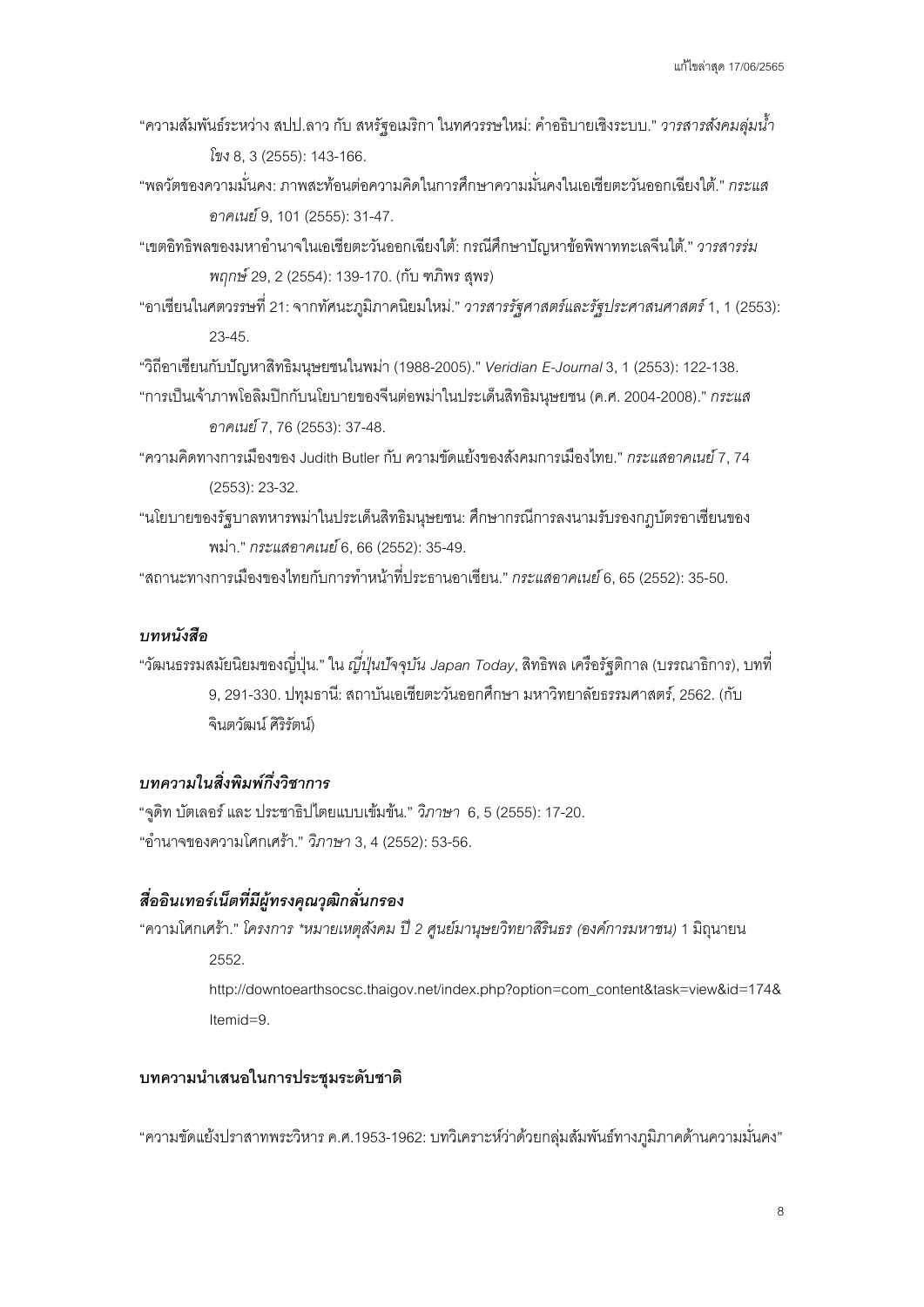- "ความสัมพันธ์ระหว่าง สปป.ลาว กับ สหรัฐอเมริกา ในทศวรรษใหม่: คําอธิบายเชิงระบบ." *วารสารสังคมลุ่มนา้ํ โขง* 8, 3(2555): 143-166.
- "พลวัตของความมั่นคง: ภาพสะท้อนต่อความคิดในการศึกษาความมั่นคงในเอเชียตะวันออกเฉียงใต้." *กระแส อาคเนย์*9, 101 (2555):31-47.
- "เขตอิทธิพลของมหาอํานาจในเอเชียตะวันออกเฉียงใต้: กรณีศึกษาปัญหาข้อพิพาททะเลจีนใต้."*วารสารร่ม พฤกษ์*29, 2(2554): 139-170. (กับ ฑภิพร สุพร)
- "อาเซียนในศตวรรษที่ 21: จากทัศนะภูมิภาคนิยมใหม่." *วารสารรัฐศาสตร์และรัฐประศาสนศาสตร์*1, 1 (2553): 23-45.

"วิถีอาเซียนกับปัญหาสิทธิมนุษยชนในพม่า (1988-2005)." *Veridian E-Journal*3, 1 (2553):122-138.

- "การเป็นเจ้าภาพโอลิมปิกกับนโยบายของจีนต่อพม่าในประเด็นสิทธิมนุษยชน (ค.ศ. 2004-2008)." *กระแส อาคเนย์*7, 76 (2553):37-48.
- "ความคิดทางการเมืองของ Judith Butler กับ ความขัดแย้งของสังคมการเมืองไทย." *กระแสอาคเนย์*7, 74 (2553):23-32.
- "นโยบายของรัฐบาลทหารพม่าในประเด็นสิทธิมนุษยชน: ศึกษากรณีการลงนามรับรองกฎบัตรอาเซียนของ พม่า." *กระแสอาคเนย์*6, 66 (2552):35-49.

"สถานะทางการเมืองของไทยกับการทําหน้าที่ประธานอาเซียน." *กระแสอาคเนย์*6, 65 (2552):35-50.

#### *บทหนังสือ*

"วัฒนธรรมสมัยนิยมของญี่ปุ่ น." ใน *ญีปุ่ นปัจจุ ่ บัน Japan Today*, สิทธิพล เครือรัฐติกาล (บรรณาธิการ), บทที่ 9, 291-330. ปทุมธานี: สถาบันเอเชียตะวันออกศึกษา มหาวิทยาลัยธรรมศาสตร์,2562. (กับ จินตวัฒน์ศิริรัตน์)

# *บทความในสิ่ งพิมพ์กึงวิชาการ ่*

"จูดิท บัตเลอร์และ ประชาธิปไตยแบบเข้มข้น." *วิภาษา* 6, 5 (2555):17-20. "อํานาจของความโศกเศร้า." *วิภาษา* 3, 4 (2552):53-56.

# *สืออินเทอร์เน็ ่ ตทีมีผ่ ้ทรงคุณวุฒิกลั ู ่ นกรอง*

"ความโศกเศร้า." *โครงการ \*หมายเหตุสังคม ปี 2 ศูนย์มานุษยวิทยาสิรินธร (องค์การมหาชน)* 1 มิถุนายน 2552. http://downtoearthsocsc.thaigov.net/index.php?option=com\_content&task=view&id=174&

Itemid=9.

### **บทความนําเสนอในการประชุมระดับชาติ**

"ความขัดแย้งปราสาทพระวิหาร ค.ศ.1953-1962: บทวิเคราะห์ว่าด้วยกลุ่มสัมพันธ์ทางภูมิภาคด้านความมั่นคง"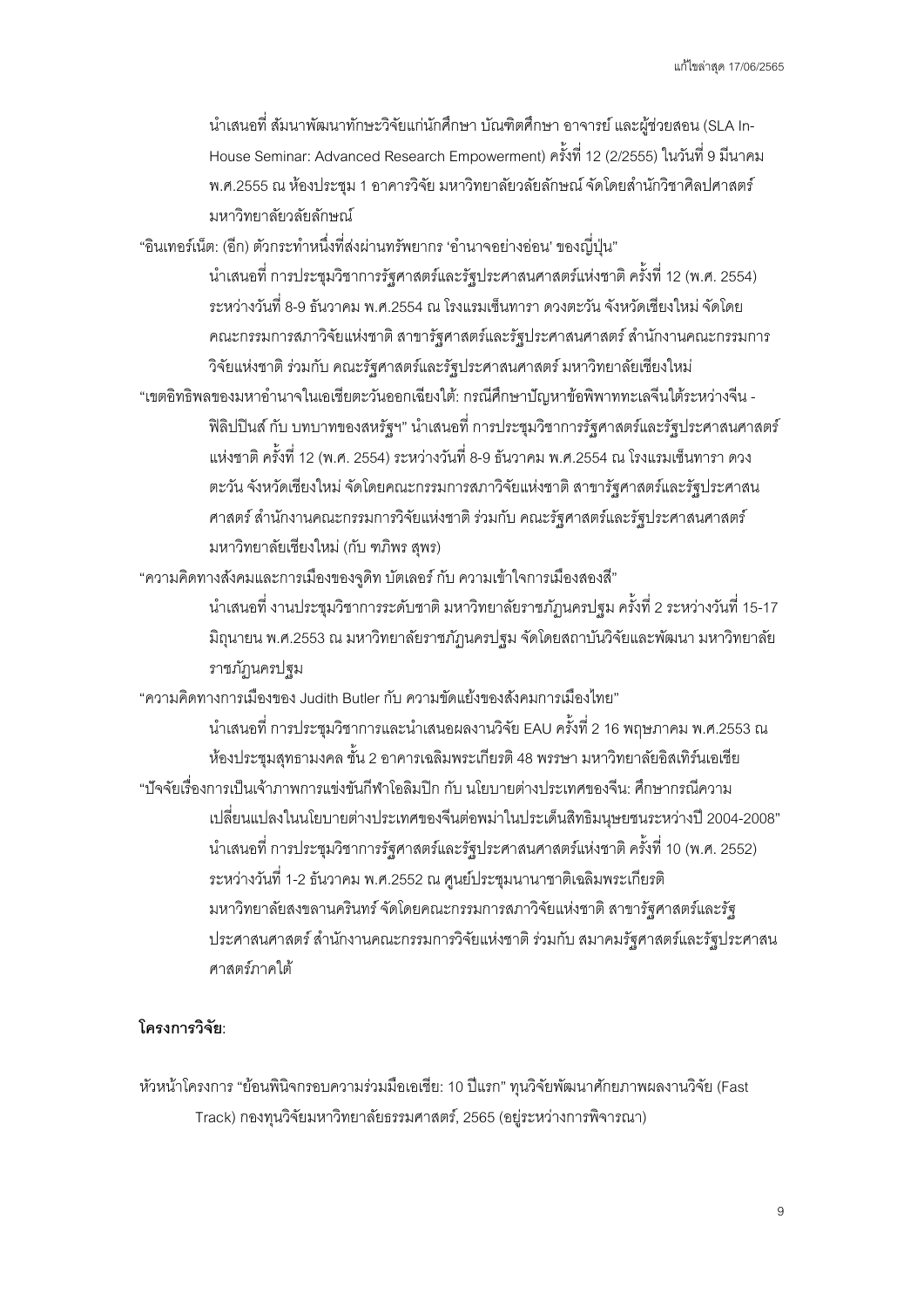นําเสนอที่ สัมนาพัฒนาทักษะวิจัยแก่นักศึกษา บัณฑิตศึกษา อาจารย์ และผู้ช่วยสอน (SLA In-House Seminar: Advanced Research Empowerment) ครั้งที่ 12 (2/2555) ในวันที่ 9 มีนาคม พ.ศ.2555 ณ ห้องประชุม 1 อาคารวิจัย มหาวิทยาลัยวลัยลักษณ์ จัดโดยสำนักวิชาศิลปศาสตร์ มหาวิทยาลัยวลัยลักษณ์

"อินเทอร์เน็ต: (อีก) ตัวกระทำหนึ่งที่ส่งผ่านทรัพยากร 'อำนาจอย่างอ่อน' ของญี่ปุ่น"

นําเสนอที่ การประชุมวิชาการรัฐศาสตร์และรัฐประศาสนศาสตร์แห่งชาติ ครั้งที่ 12 (พ.ศ. 2554) ระหว่างวันที่ 8-9 ธันวาคม พ.ศ.2554 ณ โรงแรมเซ็นทารา ดวงตะวัน จังหวัดเชียงใหม่ จัดโดย คณะกรรมการสภาวิจัยแห่งชาติ สาขารัฐศาสตร์และรัฐประศาสนศาสตร์ สํานักงานคณะกรรมการ วิจัยแห่งชาติ ร่วมกับ คณะรัฐศาสตร์และรัฐประศาสนศาสตร์ มหาวิทยาลัยเชียงใหม่

"เขตอิทธิพลของมหาอํานาจในเอเชียตะวันออกเฉียงใต้: กรณีศึกษาปัญหาข้อพิพาททะเลจีนใต้ระหว่างจีน - ฟิ ลิปปินส์ กับ บทบาทของสหรัฐฯ" นําเสนอที่ การประชุมวิชาการรัฐศาสตร์และรัฐประศาสนศาสตร์ แห่งชาติ ครั้งที่ 12 (พ.ศ. 2554) ระหว่างวันที่ 8-9 ธันวาคม พ.ศ.2554 ณ โรงแรมเซ็นทารา ดวง ตะวัน จังหวัดเชียงใหม่ จัดโดยคณะกรรมการสภาวิจัยแห่งชาติ สาขารัฐศาสตร์และรัฐประศาสน ศาสตร์ สํานักงานคณะกรรมการวิจัยแห่งชาติ ร่วมกับ คณะรัฐศาสตร์และรัฐประศาสนศาสตร์ มหาวิทยาลัยเชียงใหม่ (กับ ฑภิพร สุพร)

"ความคิดทางสังคมและการเมืองของจูดิท บัตเลอร์ กับ ความเข้าใจการเมืองสองสี"

นําเสนอที่ งานประชุมวิชาการระดับชาติ มหาวิทยาลัยราชภัฏนครปฐม ครั้งที่ 2 ระหว่างวันที่ 15-17 มิถุนายน พ.ศ.2553 ณ มหาวิทยาลัยราชภัฏนครปฐม จัดโดยสถาบันวิจัยและพัฒนา มหาวิทยาลัย ราชภัฏนครปฐม

"ความคิดทางการเมืองของ Judith Butler กับ ความขัดแย้งของสังคมการเมืองไทย"

นําเสนอที่ การประชุมวิชาการและนําเสนอผลงานวิจัย EAU ครั้งที่ 2 16 พฤษภาคม พ.ศ.2553 ณ ห้องประชุมสุทธามงคล ชั้น 2 อาคารเฉลิมพระเกียรติ 48 พรรษา มหาวิทยาลัยอิสเทิร์นเอเชีย "ปัจจัยเรื่องการเป็นเจ้าภาพการแข่งขันกีฬาโอลิมปิก กับ นโยบายต่างประเทศของจีน: ศึกษากรณีความ เปลี่ยนแปลงในนโยบายต่างประเทศของจีนต่อพม่าในประเด็นสิทธิมนุษยชนระหว่างปี 2004-2008" นําเสนอที่ การประชุมวิชาการรัฐศาสตร์และรัฐประศาสนศาสตร์แห่งชาติ ครั้งที่ 10 (พ.ศ. 2552) ระหว่างวันที่ 1-2 ธันวาคม พ.ศ.2552 ณ ศูนย์ประชุมนานาชาติเฉลิมพระเกียรติ มหาวิทยาลัยสงขลานครินทร์ จัดโดยคณะกรรมการสภาวิจัยแห่งชาติ สาขารัฐศาสตร์และรัฐ ประศาสนศาสตร์ สํานักงานคณะกรรมการวิจัยแห่งชาติ ร่วมกับ สมาคมรัฐศาสตร์และรัฐประศาสน ศาสตร์ภาคใต้

# **โครงการวิจัย:**

หัวหน้าโครงการ "ย้อนพินิจกรอบความร่วมมือเอเชีย: 10 ปีแรก" ทุนวิจัยพัฒนาศักยภาพผลงานวิจัย (Fast Track) กองทุนวิจัยมหาวิทยาลัยธรรมศาสตร์, 2565(อยู่ระหว่างการพิจารณา)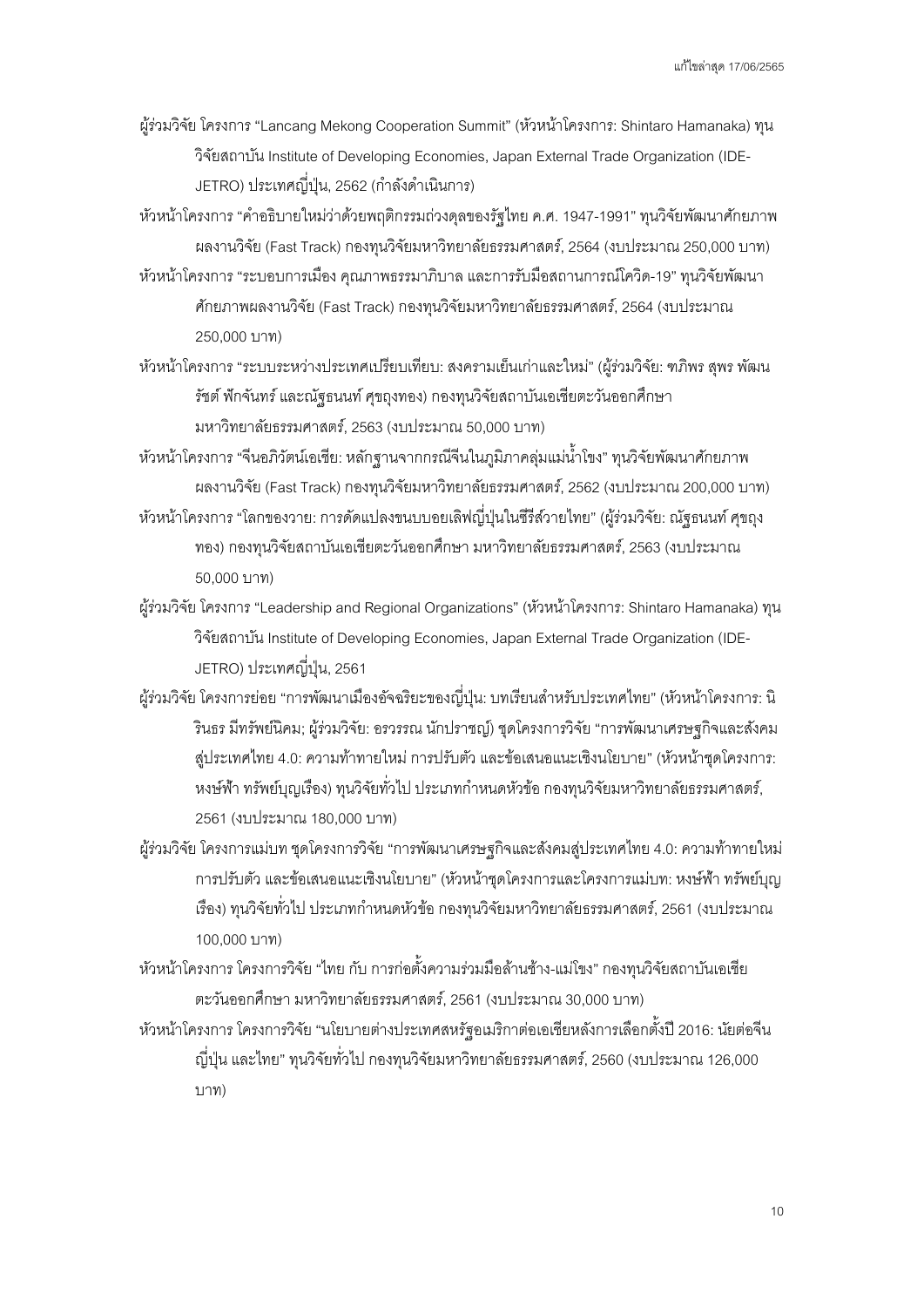- ผู้ร่วมวิจัย โครงการ "Lancang Mekong Cooperation Summit" (หัวหน้าโครงการ: Shintaro Hamanaka) ทุน วิจัยสถาบัน Institute of Developing Economies, Japan External Trade Organization (IDE-JETRO) ประเทศญี่ปุ่ น, 2562 (กําลังดําเนินการ)
- หัวหน้าโครงการ "คําอธิบายใหม่ว่าด้วยพฤติกรรมถ่วงดุลของรัฐไทย ค.ศ. 1947-1991" ทุนวิจัยพัฒนาศักยภาพ ผลงานวิจัย (Fast Track) กองทุนวิจัยมหาวิทยาลัยธรรมศาสตร์, 2564 (งบประมาณ 250,000 บาท)
- หัวหน้าโครงการ "ระบอบการเมือง คุณภาพธรรมาภิบาล และการรับมือสถานการณ์โควิด-19" ทุนวิจัยพัฒนา ศักยภาพผลงานวิจัย (Fast Track) กองทุนวิจัยมหาวิทยาลัยธรรมศาสตร์, 2564(งบประมาณ 250,000 บาท)
- หัวหน้าโครงการ "ระบบระหว่างประเทศเปรียบเทียบ: สงครามเย็นเก่าและใหม่" (ผู้ร่วมวิจัย: ฑภิพร สุพร พัฒน รัชต์ฟักจันทร์และณัฐธนนท์ศุขถุงทอง) กองทุนวิจัยสถาบันเอเชียตะวันออกศึกษา มหาวิทยาลัยธรรมศาสตร์, 2563(งบประมาณ 50,000 บาท)
- หัวหน้าโครงการ "จีนอภิวัตน์เอเชีย: หลักฐานจากกรณีจีนในภูมิภาคลุ่มแม่นํ้าโขง" ทุนวิจัยพัฒนาศักยภาพ ผลงานวิจัย (Fast Track) กองทุนวิจัยมหาวิทยาลัยธรรมศาสตร์, 2562 (งบประมาณ 200,000 บาท)
- หัวหน้าโครงการ "โลกของวาย: การดัดแปลงขนบบอยเลิฟญี่ปุ่ นในซีรีส์วายไทย" (ผู้ร่วมวิจัย: ณัฐธนนท์ศุขถุง ทอง) กองทุนวิจัยสถาบันเอเชียตะวันออกศึกษา มหาวิทยาลัยธรรมศาสตร์, 2563 (งบประมาณ 50,000 บาท)
- ผู้ร่วมวิจัย โครงการ "Leadership and Regional Organizations" (หัวหน้าโครงการ: Shintaro Hamanaka) ทุน วิจัยสถาบัน Institute of Developing Economies, Japan External Trade Organization (IDE-JETRO) ประเทศญี่ปุ่น, 2561
- ้ผู้ร่วมวิจัย โครงการย่อย "การพัฒนาเมืองอัจฉริยะของญี่ปุ่น: บทเรียนสำหรับประเทศไทย" (หัวหน้าโครงการ: นิ รินธร มีทรัพย์นิคม; ผู้ร่วมวิจัย: อรวรรณ นักปราชญ์) ชุดโครงการวิจัย "การพัฒนาเศรษฐกิจและสังคม สู่ประเทศไทย 4.0: ความท้าทายใหม่ การปรับตัวและข้อเสนอแนะเชิงนโยบาย" (หัวหน้าชุดโครงการ: หงษ์ฟ้า ทรัพย์บุญเรือง) ทุนวิจัยทั่วไป ประเภทกําหนดหัวข้อ กองทุนวิจัยมหาวิทยาลัยธรรมศาสตร์, 2561(งบประมาณ 180,000 บาท)
- ผู้ร่วมวิจัย โครงการแม่บท ชุดโครงการวิจัย "การพัฒนาเศรษฐกิจและสังคมสู่ประเทศไทย 4.0: ความท้าทายใหม่ การปรับตัวและข้อเสนอแนะเชิงนโยบาย" (หัวหน้าชุดโครงการและโครงการแม่บท: หงษ์ฟ้า ทรัพย์บุญ เรื่อง) ทุนวิจัยทั่วไป ประเภทกำหนดหัวข้อ กองทุนวิจัยมหาวิทยาลัยธรรมศาสตร์, 2561 (งบประมาณ 100,000 บาท)
- หัวหน้าโครงการ โครงการวิจัย "ไทย กับ การก่อตั้งความร่วมมือล้านช้าง-แม่โขง" กองทุนวิจัยสถาบันเอเชีย ตะวันออกศึกษา มหาวิทยาลัยธรรมศาสตร์, 2561(งบประมาณ 30,000 บาท)
- หัวหน้าโครงการ โครงการวิจัย "นโยบายต่างประเทศสหรัฐอเมริกาต่อเอเชียหลังการเลือกตั้งปี2016: นัยต่อจีน ญี่ปุ่ น และไทย" ทุนวิจัยทั่วไป กองทุนวิจัยมหาวิทยาลัยธรรมศาสตร์, 2560 (งบประมาณ 126,000 บาท)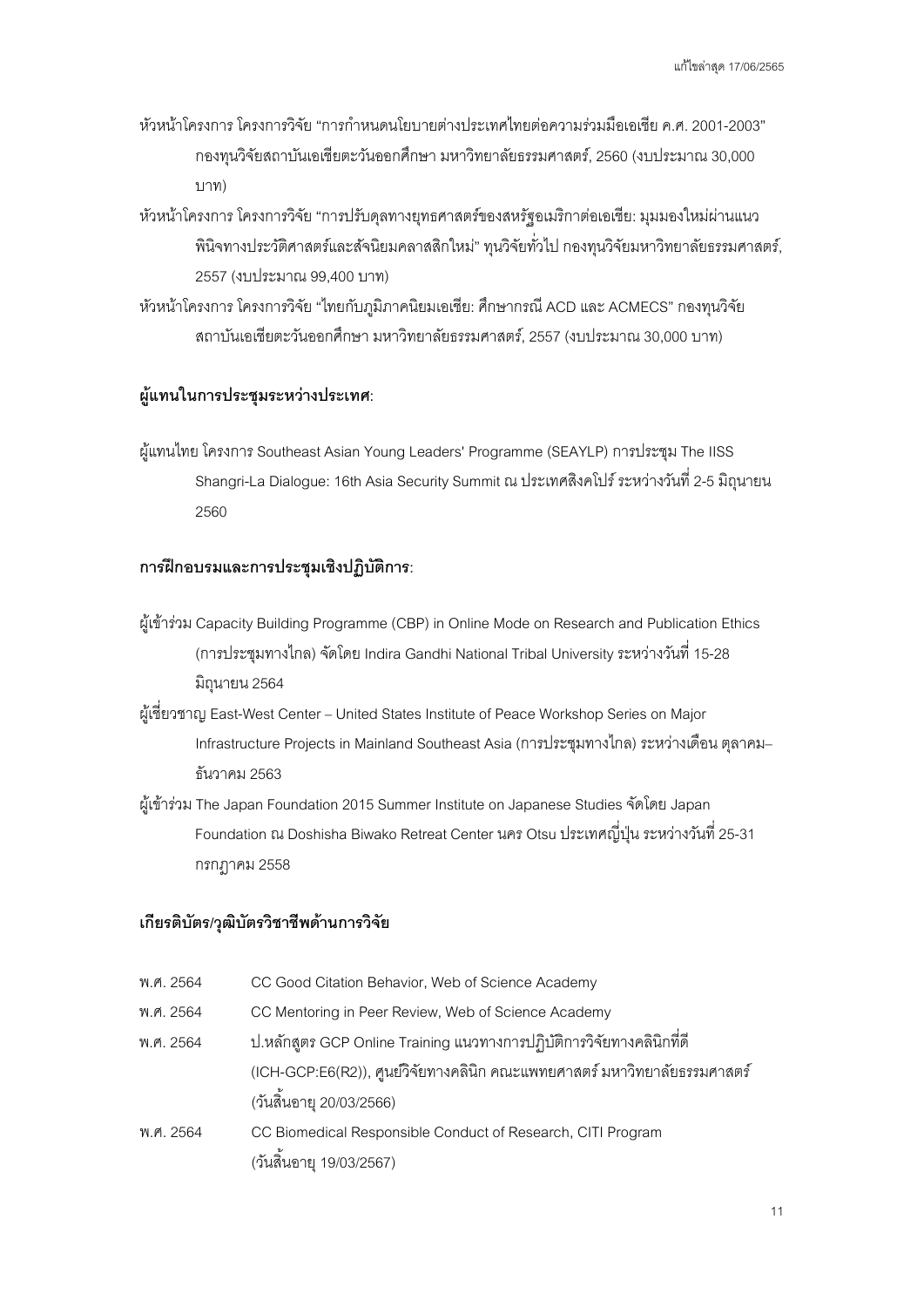- หัวหน้าโครงการ โครงการวิจัย "การกําหนดนโยบายต่างประเทศไทยต่อความร่วมมือเอเชีย ค.ศ. 2001-2003" กองทุนวิจัยสถาบันเอเชียตะวันออกศึกษา มหาวิทยาลัยธรรมศาสตร์, 2560 (งบประมาณ 30,000 บาท)
- หัวหน้าโครงการ โครงการวิจัย "การปรับดุลทางยุทธศาสตร์ของสหรัฐอเมริกาต่อเอเชีย: มุมมองใหม่ผ่านแนว พินิจทางประวัติศาสตร์และสัจนิยมคลาสสิกใหม่" ทุนวิจัยทั่วไป กองทุนวิจัยมหาวิทยาลัยธรรมศาสตร์, 2557(งบประมาณ 99,400 บาท)
- หัวหน้าโครงการ โครงการวิจัย "ไทยกับภูมิภาคนิยมเอเชีย: ศึกษากรณี ACD และ ACMECS" กองทุนวิจัย สถาบันเอเชียตะวันออกศึกษา มหาวิทยาลัยธรรมศาสตร์, 2557 (งบประมาณ 30,000 บาท)

#### **ผู้แทนในการประชุมระหว่างประเทศ:**

ผู้แทนไทย โครงการ Southeast Asian Young Leaders' Programme (SEAYLP) การประชุม The IISS Shangri-La Dialogue: 16th Asia Security Summit ณ ประเทศสิงคโปร์ ระหว่างวันที่2-5 มิถุนายน 2560

#### **การฝึ กอบรมและการประชุมเชิงปฏิบัติการ:**

- ผู้เข้าร่วม Capacity Building Programme (CBP) in Online Mode on Research and Publication Ethics (การประชุมทางไกล)จัดโดย Indira Gandhi National Tribal University ระหว่างวันที่ 15-28 มิถุนายน 2564
- ผู้เชี่ยวชาญ East-West Center United States Institute of Peace Workshop Series on Major Infrastructure Projects in Mainland Southeast Asia (การประชุมทางไกล) ระหว่างเดือน ตุลาคม– ธันวาคม 2563
- ผู้เข้าร่วม The Japan Foundation 2015 Summer Institute on Japanese Studiesจัดโดย Japan  $\,$  Foundation ณ Doshisha Biwako Retreat Center นคร Otsu ประเทศญี่ปุ่น ระหว่างวันที่ 25-31 กรกฎาคม 2558

#### **เกียรติบัตร/วุฒิบัตรวิชาชีพด้านการวิจัย**

พ.ศ. 2564 CC Good Citation Behavior, Web of Science Academy พ.ศ. 2564 CC Mentoring in Peer Review, Web of Science Academy พ.ศ. 2564 ป.หลักสูตร GCP Online Training แนวทางการปฏิบัติการวิจัยทางคลินิกที่ดี (ICH-GCP:E6(R2)), ศูนย์วิจัยทางคลินิก คณะแพทยศาสตร์มหาวิทยาลัยธรรมศาสตร์ (วันสิ้นอายุ 20/03/2566) พ.ศ. 2564 CC Biomedical Responsible Conduct of Research, CITI Program (วันสิ้นอายุ 19/03/2567)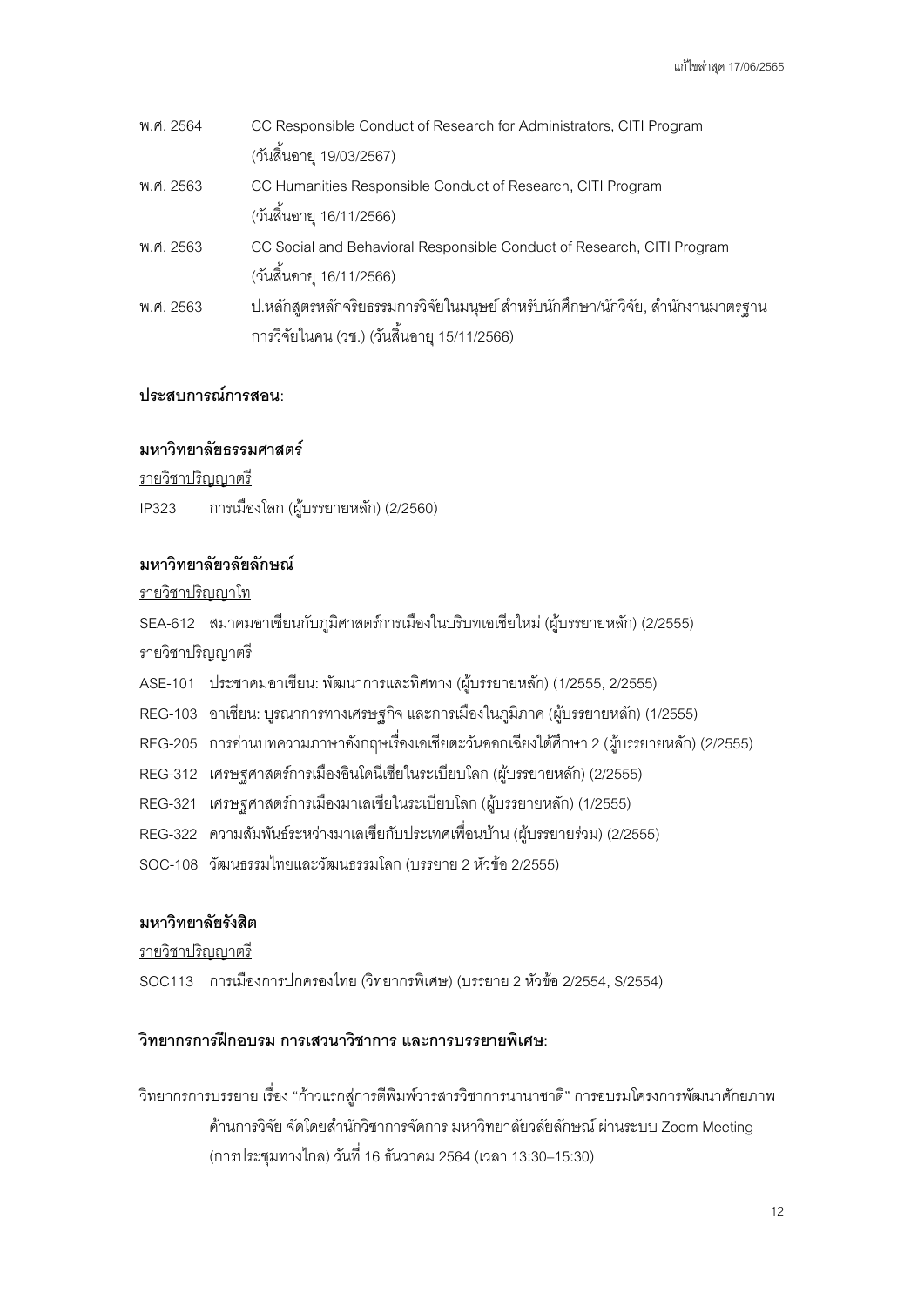| พ.ศ. 2564 | CC Responsible Conduct of Research for Administrators, CITI Program             |
|-----------|---------------------------------------------------------------------------------|
|           | (วันสิ้นอายุ 19/03/2567)                                                        |
| พ.ศ. 2563 | CC Humanities Responsible Conduct of Research, CITI Program                     |
|           | (วันสิ้นอายุ 16/11/2566)                                                        |
| พ.ศ. 2563 | CC Social and Behavioral Responsible Conduct of Research, CITI Program          |
|           | (วันสิ้นอายุ 16/11/2566)                                                        |
| พ.ศ. 2563 | ป.หลักสูตรหลักจริยธรรมการวิจัยในมนุษย์ สำหรับนักศึกษา/นักวิจัย, สำนักงานมาตรฐาน |
|           | การวิจัยในคน (วช.) (วันสิ้นอายุ 15/11/2566)                                     |

# **ประสบการณ์การสอน:**

### **มหาวิทยาลัยธรรมศาสตร์**

รายวิชาปริญญาตรี

IP323 การเมืองโลก (ผู้บรรยายหลัก) (2/2560)

### **มหาวิทยาลัยวลัยลักษณ์**

รายวิชาปริญญาโท

SEA-612 สมาคมอาเซียนกับภูมิศาสตร์การเมืองในบริบทเอเชียใหม่ (ผู้บรรยายหลัก) (2/2555)

รายวิชาปริญญาตรี

- ASE-101 ประชาคมอาเซียน: พัฒนาการและทิศทาง (ผู้บรรยายหลัก) (1/2555, 2/2555)
- REG-103 อาเซียน: บูรณาการทางเศรษฐกิจและการเมืองในภูมิภาค (ผู้บรรยายหลัก) (1/2555)
- REG-205 การอ่านบทความภาษาอังกฤษเรื่องเอเชียตะวันออกเฉียงใต้ศึกษา2(ผู้บรรยายหลัก) (2/2555)
- REG-312 เศรษฐศาสตร์การเมืองอินโดนีเซียในระเบียบโลก (ผู้บรรยายหลัก) (2/2555)
- REG-321 เศรษฐศาสตร์การเมืองมาเลเซียในระเบียบโลก (ผู้บรรยายหลัก) (1/2555)
- REG-322 ความสัมพันธ์ระหว่างมาเลเซียกับประเทศเพื่อนบ้าน (ผู้บรรยายร่วม) (2/2555)
- SOC-108 วัฒนธรรมไทยและวัฒนธรรมโลก (บรรยาย 2 หัวข้อ 2/2555)

# **มหาวิทยาลัยรังสิต**

รายวิชาปริญญาตรี

SOC113 การเมืองการปกครองไทย (วิทยากรพิเศษ) (บรรยาย 2 หัวข้อ 2/2554, S/2554)

# **วิทยากรการฝึ กอบรม การเสวนาวิชาการ และการบรรยายพิเศษ:**

วิทยากรการบรรยาย เรื่อง "ก้าวแรกสู่การตีพิมพ์วารสารวิชาการนานาชาติ" การอบรมโครงการพัฒนาศักยภาพ ด้านการวิจัย จัดโดยสำนักวิชาการจัดการ มหาวิทยาลัยวลัยลักษณ์ ผ่านระบบ Zoom Meeting (การประชุมทางไกล) วันที่16 ธันวาคม 2564 (เวลา13:30–15:30)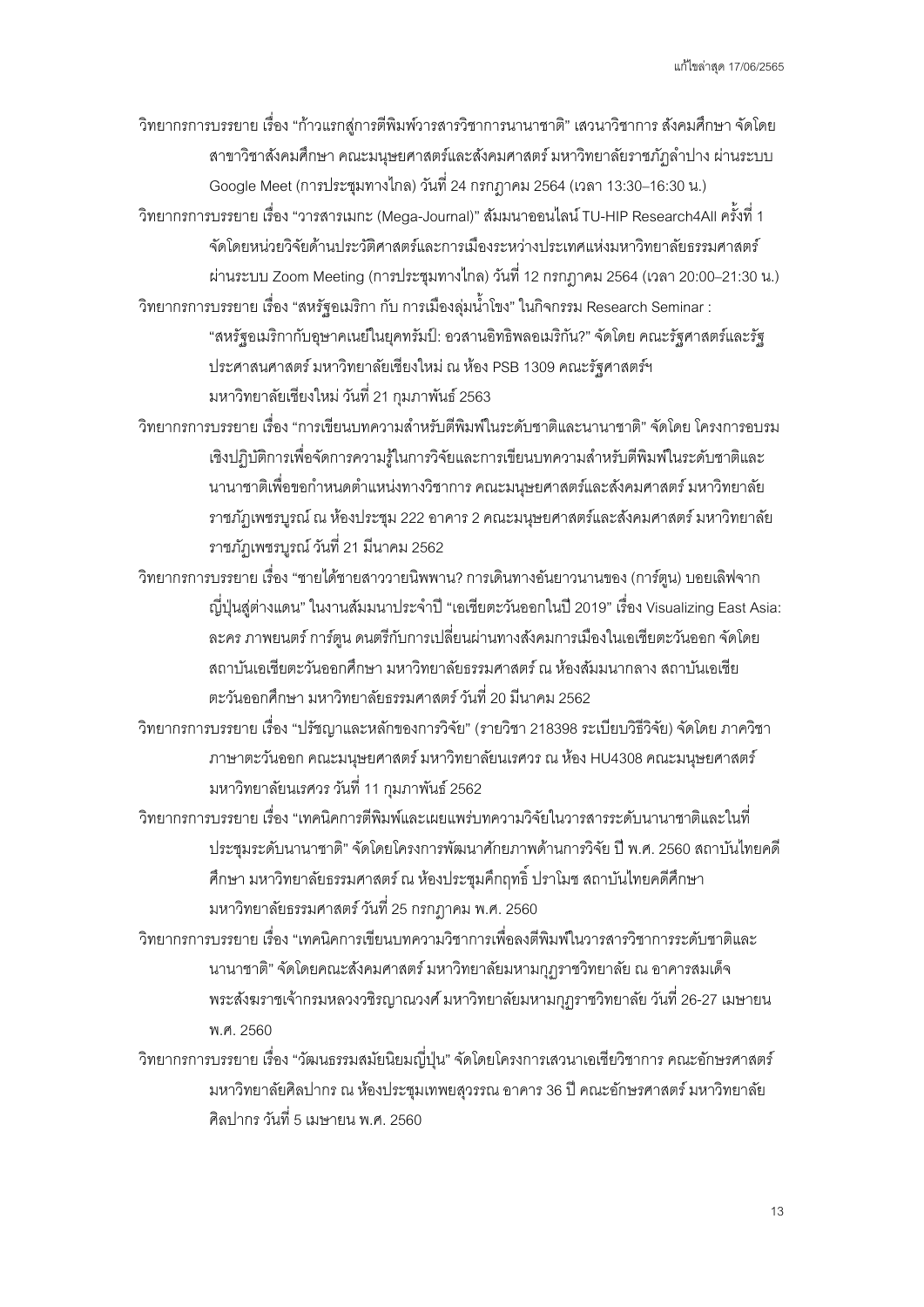วิทยากรการบรรยาย เรื่อง "ก้าวแรกสู่การตีพิมพ์วารสารวิชาการนานาชาติ" เสวนาวิชาการ สังคมศึกษาจัดโดย สาขาวิชาสังคมศึกษา คณะมนุษยศาสตร์และสังคมศาสตร์มหาวิทยาลัยราชภัฏลําปาง ผ่านระบบ Google Meet (การประชุมทางไกล) วันที่24 กรกฎาคม 2564(เวลา13:30–16:30 น.)

้วิทยากรการบรรยาย เรื่อง "วารสารเมกะ (Mega-Journal)" สัมมนาออนไลน์ TU-HIP Research4All ครั้งที่ 1 จัดโดยหน่วยวิจัยด้านประวัติศาสตร์และการเมืองระหว่างประเทศแห่งมหาวิทยาลัยธรรมศาสตร์ ผ่านระบบ Zoom Meeting (การประชุมทางไกล) วันที่12 กรกฎาคม 2564(เวลา20:00–21:30 น.) วิทยากรการบรรยาย เรื่อง "สหรัฐอเมริกา กับ การเมืองลุ่มนํ้าโขง" ในกิจกรรม Research Seminar :

"สหรัฐอเมริกากับอุษาคเนย์ในยุคทรัมป์: อวสานอิทธิพลอเมริกัน?"จัดโดย คณะรัฐศาสตร์และรัฐ ประศาสนศาสตร์มหาวิทยาลัยเชียงใหม่ ณ ห้อง PSB 1309 คณะรัฐศาสตร์ฯ ้มหาวิทยาลัยเชียงใหม่ วันที่ 21 กมภาพันธ์ 2563

วิทยากรการบรรยาย เรื่อง "การเขียนบทความสําหรับตีพิมพ์ในระดับชาติและนานาชาติ" จัดโดย โครงการอบรม เชิงปฏิบัติการเพื่อจัดการความรู้ในการวิจัยและการเขียนบทความสําหรับตีพิมพ์ในระดับชาติและ นานาชาติเพื่อขอกำหนดตำแหน่งทางวิชาการ คณะมนุษยศาสตร์และสังคมศาสตร์ มหาวิทยาลัย ราชภัฏเพชรบูรณ์ณ ห้องประชุม 222 อาคาร 2 คณะมนุษยศาสตร์และสังคมศาสตร์มหาวิทยาลัย ราชภัฏเพชรบูรณ์วันที่ 21 มีนาคม 2562

วิทยากรการบรรยาย เรื่อง "ชายได้ชายสาววายนิพพาน? การเดินทางอันยาวนานของ (การ์ตูน) บอยเลิฟจาก ญี่ปุ่นสู่ต่างแดน" ในงานสัมมนาประจําปี"เอเชียตะวันออกในปี2019" เรื่อง Visualizing East Asia: ละคร ภาพยนตร์การ์ตูน ดนตรีกับการเปลี่ยนผ่านทางสังคมการเมืองในเอเชียตะวันออก จัดโดย สถาบันเอเชียตะวันออกศึกษา มหาวิทยาลัยธรรมศาสตร์ณ ห้องสัมมนากลาง สถาบันเอเชีย ตะวันออกศึกษา มหาวิทยาลัยธรรมศาสตร์วันที่20 มีนาคม 2562

วิทยากรการบรรยาย เรื่อง "ปรัชญาและหลักของการวิจัย" (รายวิชา 218398ระเบียบวิธีวิจัย) จัดโดย ภาควิชา ภาษาตะวันออก คณะมนุษยศาสตร์ มหาวิทยาลัยนเรศวร ณ ห้อง HU4308 คณะมนุษยศาสตร์ มหาวิทยาลัยนเรศวร วันที่ 11 กุมภาพันธ์ 2562

วิทยากรการบรรยาย เรื่อง "เทคนิคการตีพิมพ์และเผยแพร่บทความวิจัยในวารสารระดับนานาชาติและในที่ ประชุมระดับนานาชาติ"จัดโดยโครงการพัฒนาศักยภาพด้านการวิจัย ปีพ.ศ. 2560 สถาบันไทยคดี ศึกษา มหาวิทยาลัยธรรมศาสตร์ณ ห้องประชุมคึกฤทธิ์ปราโมช สถาบันไทยคดีศึกษา มหาวิทยาลัยธรรมศาสตร์วันที่25 กรกฎาคม พ.ศ. 2560

วิทยากรการบรรยาย เรื่อง "เทคนิคการเขียนบทความวิชาการเพื่อลงตีพิมพ์ในวารสารวิชาการระดับชาติและ นานาชาติ" จัดโดยคณะสังคมศาสตร์มหาวิทยาลัยมหามกุฏราชวิทยาลัย ณ อาคารสมเด็จ พระสังฆราชเจ้ากรมหลวงวชิรญาณวงศ์ มหาวิทยาลัยมหามกุฏราชวิทยาลัย วันที่ 26-27 เมษายน พ.ศ. 2560

้วิทยากรการบรรยาย เรื่อง "วัฒนธรรมสมัยนิยมญี่ปุ่น" จัดโดยโครงการเสวนาเอเชียวิชาการ คณะอักษรศาสตร์ มหาวิทยาลัยศิลปากร ณ ห้องประชุมเทพยสุวรรณ อาคาร 36 ปี คณะอักษรศาสตร์ มหาวิทยาลัย ศิลปากร วันที่ 5 เมษายน พ.ศ. 2560

13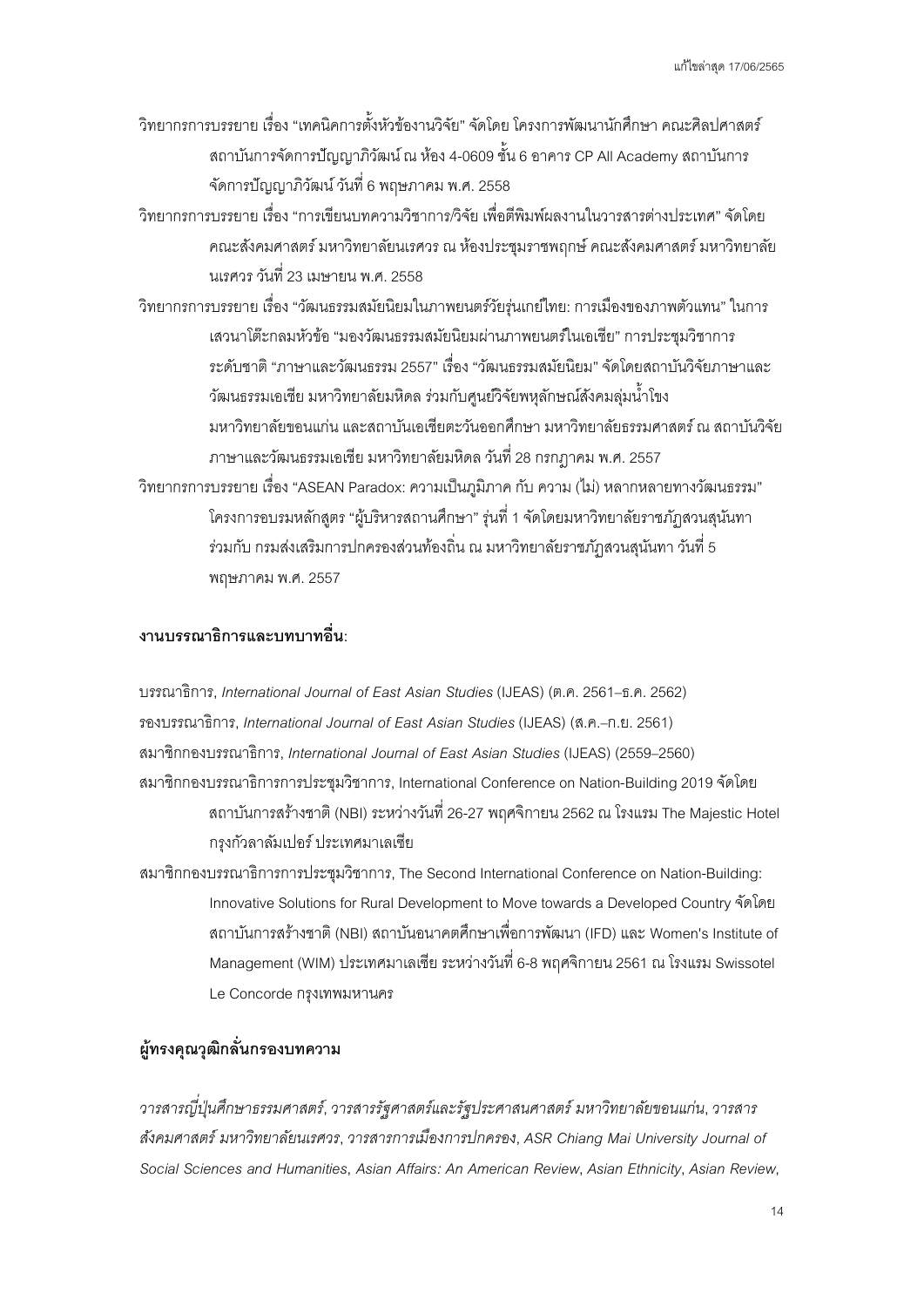- วิทยากรการบรรยาย เรื่อง "เทคนิคการตั้งหัวข้องานวิจัย" จัดโดย โครงการพัฒนานักศึกษา คณะศิลปศาสตร์ สถาบันการจัดการปัญญาภิวัฒน์ณ ห้อง 4-0609 ชั้น 6 อาคาร CP All Academy สถาบันการ จัดการปัญญาภิวัฒน์วันที่ 6 พฤษภาคม พ.ศ.2558
- วิทยากรการบรรยาย เรื่อง "การเขียนบทความวิชาการ/วิจัย เพื่อตีพิมพ์ผลงานในวารสารต่างประเทศ" จัดโดย คณะสังคมศาสตร์ มหาวิทยาลัยนเรศวร ณ ห้องประชุมราชพฤกษ์ คณะสังคมศาสตร์ มหาวิทยาลัย นเรศวร วันที่ 23เมษายน พ.ศ. 2558
- วิทยากรการบรรยาย เรื่อง "วัฒนธรรมสมัยนิยมในภาพยนตร์วัยรุ่นเกย์ไทย: การเมืองของภาพตัวแทน" ในการ เสวนาโต๊ะกลมหัวข้อ"มองวัฒนธรรมสมัยนิยมผ่านภาพยนตร์ในเอเชีย" การประชุมวิชาการ ระดับชาติ"ภาษาและวัฒนธรรม 2557" เรื่อง "วัฒนธรรมสมัยนิยม"จัดโดยสถาบันวิจัยภาษาและ วัฒนธรรมเอเชีย มหาวิทยาลัยมหิดล ร่วมกับศูนย์วิจัยพหุลักษณ์สังคมลุ่มนํ้าโขง มหาวิทยาลัยขอนแก่น และสถาบันเอเชียตะวันออกศึกษา มหาวิทยาลัยธรรมศาสตร์ณ สถาบันวิจัย ภาษาและวัฒนธรรมเอเชีย มหาวิทยาลัยมหิดล วันที่28 กรกฎาคม พ.ศ. 2557
- วิทยากรการบรรยาย เรื่อง "ASEAN Paradox: ความเป็นภูมิภาค กับ ความ (ไม่) หลากหลายทางวัฒนธรรม" โครงการอบรมหลักสูตร "ผู้บริหารสถานศึกษา" รุ่นที่1 จัดโดยมหาวิทยาลัยราชภัฏสวนสุนันทา ร่วมกับ กรมส่งเสริมการปกครองส่วนท้องถิ่น ณ มหาวิทยาลัยราชภัฏสวนสุนันทา วันที่5 พฤษภาคม พ.ศ. 2557

# **งานบรรณาธิการและบทบาทอื่ น:**

บรรณาธิการ, *International Journal of East Asian Studies* (IJEAS) (ต.ค. 2561–ธ.ค. 2562) รองบรรณาธิการ, *International Journal of East Asian Studies* (IJEAS) (ส.ค.–ก.ย. 2561) สมาชิกกองบรรณาธิการ, *International Journal of East Asian Studies* (IJEAS) (2559–2560) สมาชิกกองบรรณาธิการการประชุมวิชาการ, International Conference on Nation-Building 2019จัดโดย สถาบันการสร้างชาติ(NBI) ระหว่างวันที่ 26-27 พฤศจิกายน 2562 ณ โรงแรม The Majestic Hotel กรุงกัวลาลัมเปอร์ประเทศมาเลเซีย

สมาชิกกองบรรณาธิการการประชุมวิชาการ, The Second International Conference on Nation-Building: Innovative Solutions for Rural Development to Move towards a Developed Countryจัดโดย สถาบันการสร้างชาติ(NBI) สถาบันอนาคตศึกษาเพื่อการพัฒนา(IFD) และ Women's Institute of Management (WIM) ประเทศมาเลเซีย ระหว่างวันที่ 6-8 พฤศจิกายน 2561 ณ โรงแรม Swissotel Le Concorde กรุงเทพมหานคร

# **ผู้ทรงคุณวุฒิกลั่ นกรองบทความ**

*วารสารญีปุ่ นศึกษาธรรมศาสตร์ ่* , *วารสารรัฐศาสตร์และรัฐประศาสนศาสตร์มหาวิทยาลัยขอนแก่น*, *วารสาร สังคมศาสตร์ มหาวิทยาลัยนเรศวร*, *วารสารการเมืองการปกครอง*, *ASR Chiang Mai University Journal of Social Sciences and Humanities*, *Asian Affairs: An American Review*, *Asian Ethnicity*, *Asian Review*,